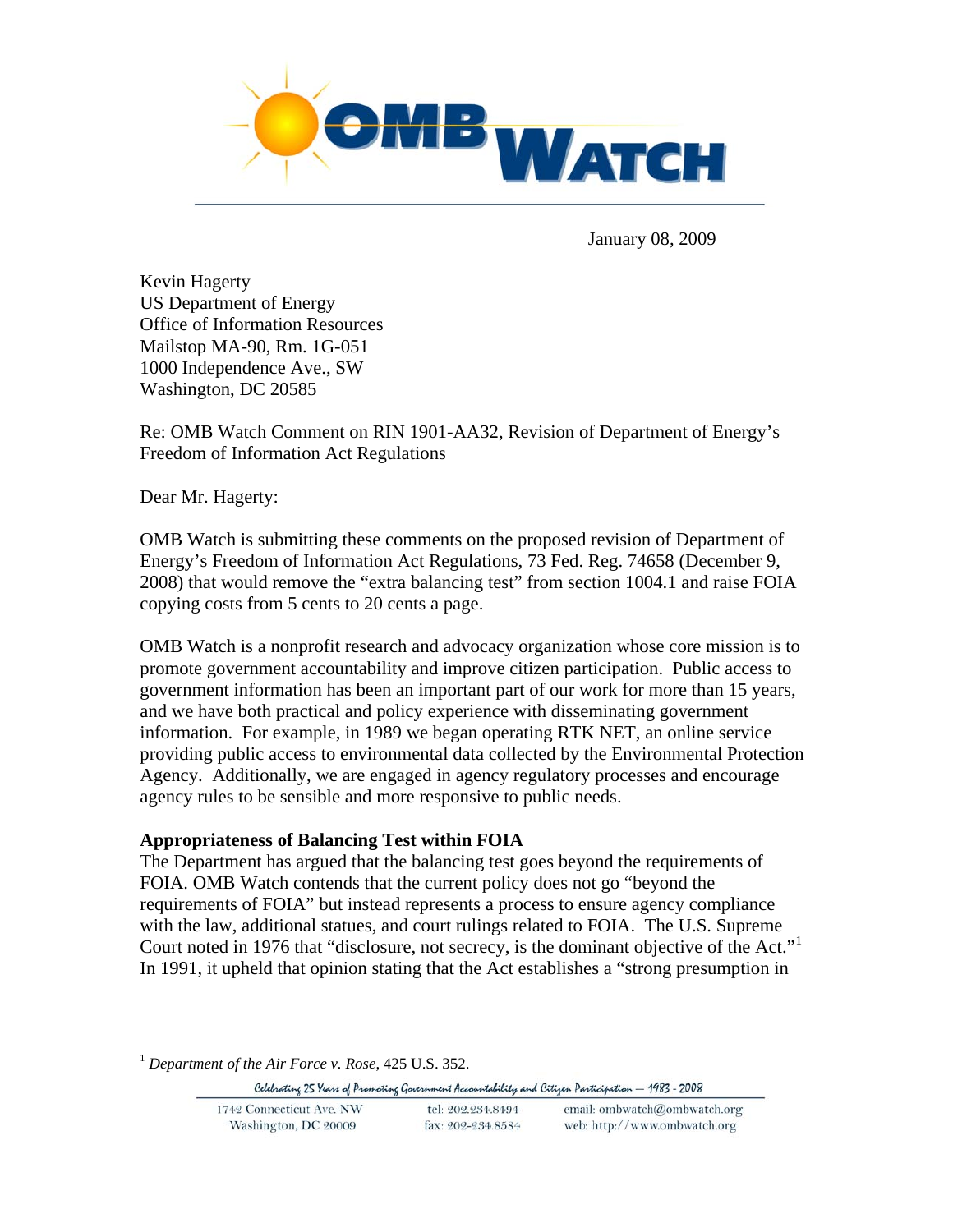

January 08, 2009

Kevin Hagerty US Department of Energy Office of Information Resources Mailstop MA-90, Rm. 1G-051 1000 Independence Ave., SW Washington, DC 20585

Re: OMB Watch Comment on RIN 1901-AA32, Revision of Department of Energy's Freedom of Information Act Regulations

Dear Mr. Hagerty:

OMB Watch is submitting these comments on the proposed revision of Department of Energy's Freedom of Information Act Regulations, 73 Fed. Reg. 74658 (December 9, 2008) that would remove the "extra balancing test" from section 1004.1 and raise FOIA copying costs from 5 cents to 20 cents a page.

OMB Watch is a nonprofit research and advocacy organization whose core mission is to promote government accountability and improve citizen participation. Public access to government information has been an important part of our work for more than 15 years, and we have both practical and policy experience with disseminating government information. For example, in 1989 we began operating RTK NET, an online service providing public access to environmental data collected by the Environmental Protection Agency. Additionally, we are engaged in agency regulatory processes and encourage agency rules to be sensible and more responsive to public needs.

### **Appropriateness of Balancing Test within FOIA**

The Department has argued that the balancing test goes beyond the requirements of FOIA. OMB Watch contends that the current policy does not go "beyond the requirements of FOIA" but instead represents a process to ensure agency compliance with the law, additional statues, and court rulings related to FOIA. The U.S. Supreme Court noted in 1976 that "disclosure, not secrecy, is the dominant objective of the Act."[1](#page-0-0) In 1991, it upheld that opinion stating that the Act establishes a "strong presumption in

<span id="page-0-0"></span><sup>1</sup> *Department of the Air Force v. Rose*, 425 U.S. 352.

 $\overline{a}$ 

Celebrating 25 Years of Promoting Government Accountability and Citizen Participation - 1983 - 2008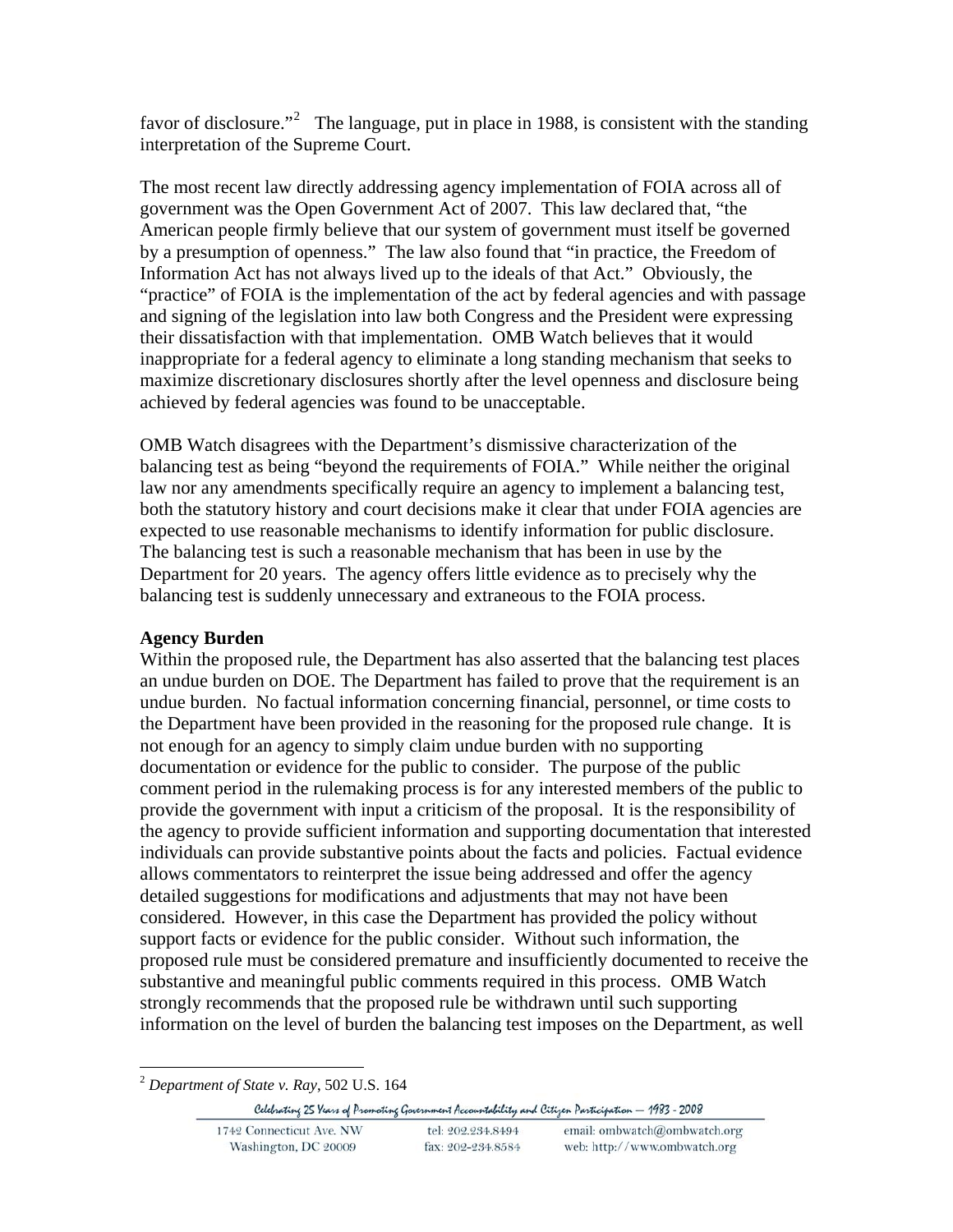favor of disclosure."<sup>[2](#page-1-0)</sup> The language, put in place in 1988, is consistent with the standing interpretation of the Supreme Court.

The most recent law directly addressing agency implementation of FOIA across all of government was the Open Government Act of 2007. This law declared that, "the American people firmly believe that our system of government must itself be governed by a presumption of openness." The law also found that "in practice, the Freedom of Information Act has not always lived up to the ideals of that Act." Obviously, the "practice" of FOIA is the implementation of the act by federal agencies and with passage and signing of the legislation into law both Congress and the President were expressing their dissatisfaction with that implementation. OMB Watch believes that it would inappropriate for a federal agency to eliminate a long standing mechanism that seeks to maximize discretionary disclosures shortly after the level openness and disclosure being achieved by federal agencies was found to be unacceptable.

OMB Watch disagrees with the Department's dismissive characterization of the balancing test as being "beyond the requirements of FOIA." While neither the original law nor any amendments specifically require an agency to implement a balancing test, both the statutory history and court decisions make it clear that under FOIA agencies are expected to use reasonable mechanisms to identify information for public disclosure. The balancing test is such a reasonable mechanism that has been in use by the Department for 20 years. The agency offers little evidence as to precisely why the balancing test is suddenly unnecessary and extraneous to the FOIA process.

# **Agency Burden**

Within the proposed rule, the Department has also asserted that the balancing test places an undue burden on DOE. The Department has failed to prove that the requirement is an undue burden. No factual information concerning financial, personnel, or time costs to the Department have been provided in the reasoning for the proposed rule change. It is not enough for an agency to simply claim undue burden with no supporting documentation or evidence for the public to consider. The purpose of the public comment period in the rulemaking process is for any interested members of the public to provide the government with input a criticism of the proposal. It is the responsibility of the agency to provide sufficient information and supporting documentation that interested individuals can provide substantive points about the facts and policies. Factual evidence allows commentators to reinterpret the issue being addressed and offer the agency detailed suggestions for modifications and adjustments that may not have been considered. However, in this case the Department has provided the policy without support facts or evidence for the public consider. Without such information, the proposed rule must be considered premature and insufficiently documented to receive the substantive and meaningful public comments required in this process. OMB Watch strongly recommends that the proposed rule be withdrawn until such supporting information on the level of burden the balancing test imposes on the Department, as well

<span id="page-1-0"></span> $\overline{a}$ <sup>2</sup> *Department of State v. Ray*, 502 U.S. 164

Celebrating 25 Years of Promoting Government Accountability and Citizen Participation - 1983 - 2008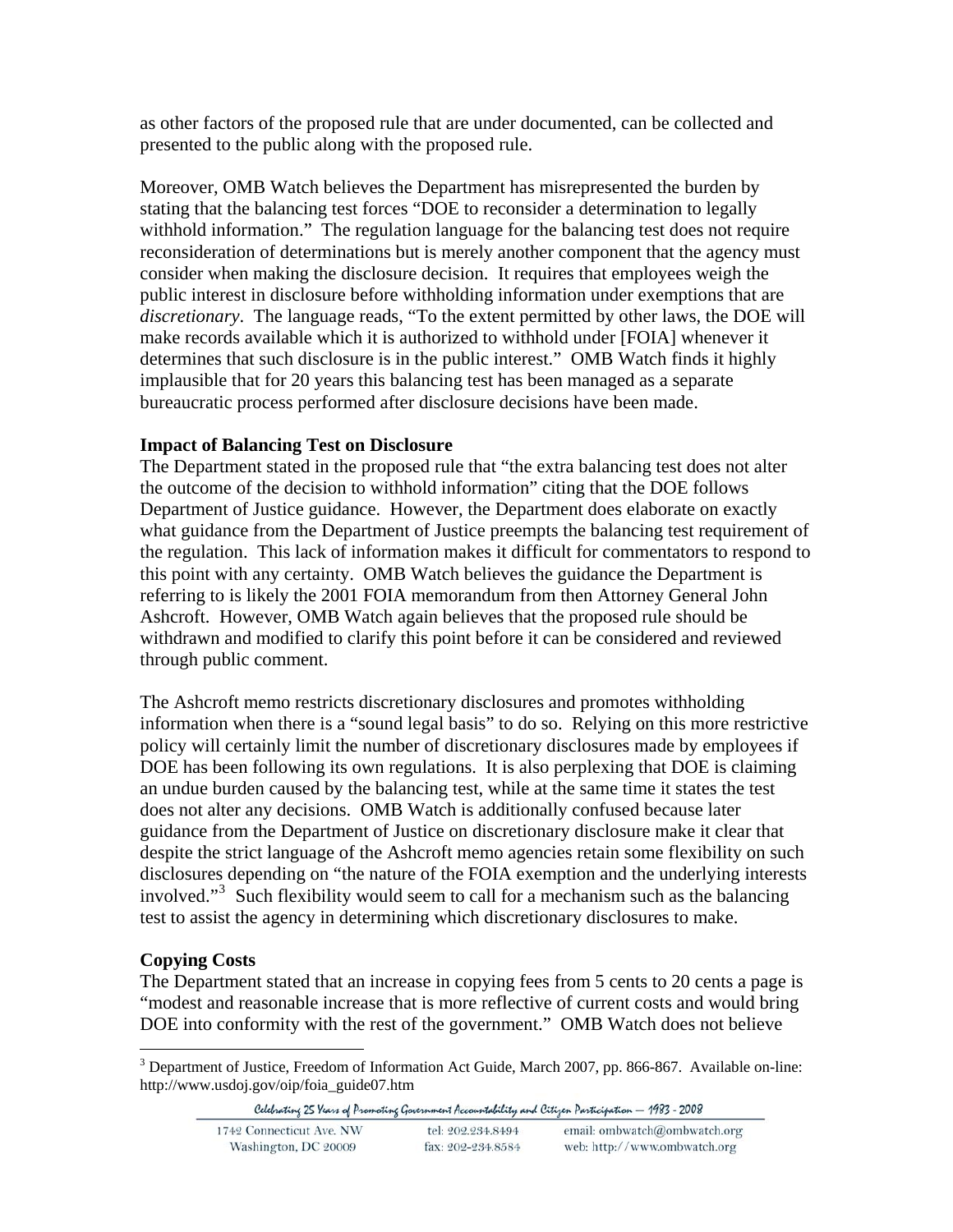as other factors of the proposed rule that are under documented, can be collected and presented to the public along with the proposed rule.

Moreover, OMB Watch believes the Department has misrepresented the burden by stating that the balancing test forces "DOE to reconsider a determination to legally withhold information." The regulation language for the balancing test does not require reconsideration of determinations but is merely another component that the agency must consider when making the disclosure decision. It requires that employees weigh the public interest in disclosure before withholding information under exemptions that are *discretionary*. The language reads, "To the extent permitted by other laws, the DOE will make records available which it is authorized to withhold under [FOIA] whenever it determines that such disclosure is in the public interest." OMB Watch finds it highly implausible that for 20 years this balancing test has been managed as a separate bureaucratic process performed after disclosure decisions have been made.

## **Impact of Balancing Test on Disclosure**

The Department stated in the proposed rule that "the extra balancing test does not alter the outcome of the decision to withhold information" citing that the DOE follows Department of Justice guidance. However, the Department does elaborate on exactly what guidance from the Department of Justice preempts the balancing test requirement of the regulation. This lack of information makes it difficult for commentators to respond to this point with any certainty. OMB Watch believes the guidance the Department is referring to is likely the 2001 FOIA memorandum from then Attorney General John Ashcroft. However, OMB Watch again believes that the proposed rule should be withdrawn and modified to clarify this point before it can be considered and reviewed through public comment.

The Ashcroft memo restricts discretionary disclosures and promotes withholding information when there is a "sound legal basis" to do so. Relying on this more restrictive policy will certainly limit the number of discretionary disclosures made by employees if DOE has been following its own regulations. It is also perplexing that DOE is claiming an undue burden caused by the balancing test, while at the same time it states the test does not alter any decisions. OMB Watch is additionally confused because later guidance from the Department of Justice on discretionary disclosure make it clear that despite the strict language of the Ashcroft memo agencies retain some flexibility on such disclosures depending on "the nature of the FOIA exemption and the underlying interests involved."[3](#page-2-0) Such flexibility would seem to call for a mechanism such as the balancing test to assist the agency in determining which discretionary disclosures to make.

# **Copying Costs**

The Department stated that an increase in copying fees from 5 cents to 20 cents a page is "modest and reasonable increase that is more reflective of current costs and would bring DOE into conformity with the rest of the government." OMB Watch does not believe

<span id="page-2-0"></span> $\overline{a}$ <sup>3</sup> Department of Justice, Freedom of Information Act Guide, March 2007, pp. 866-867. Available on-line: http://www.usdoj.gov/oip/foia\_guide07.htm

Celebrating 25 Years of Promoting Government Accountability and Citizen Participation - 1983 - 2008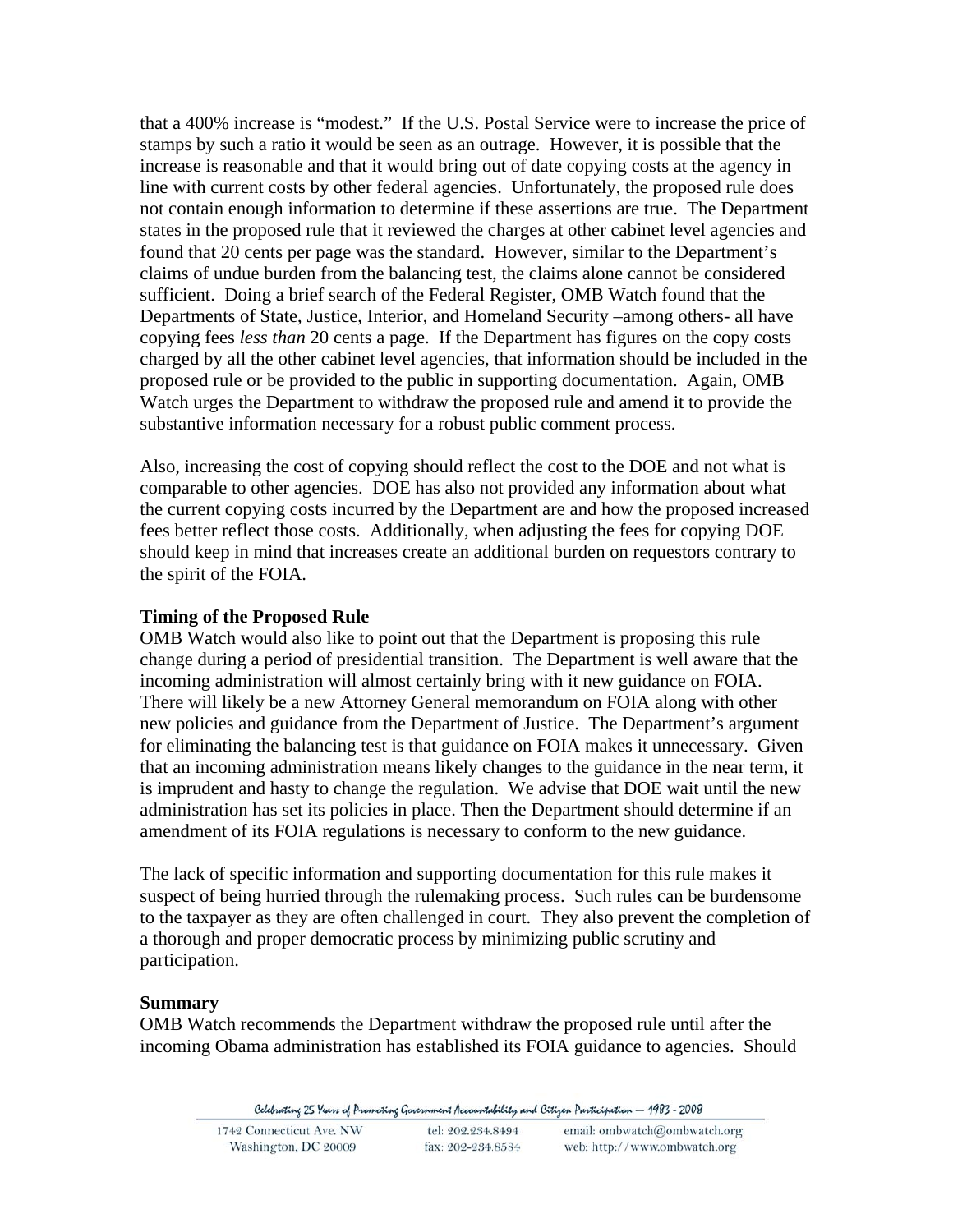that a 400% increase is "modest." If the U.S. Postal Service were to increase the price of stamps by such a ratio it would be seen as an outrage. However, it is possible that the increase is reasonable and that it would bring out of date copying costs at the agency in line with current costs by other federal agencies. Unfortunately, the proposed rule does not contain enough information to determine if these assertions are true. The Department states in the proposed rule that it reviewed the charges at other cabinet level agencies and found that 20 cents per page was the standard. However, similar to the Department's claims of undue burden from the balancing test, the claims alone cannot be considered sufficient. Doing a brief search of the Federal Register, OMB Watch found that the Departments of State, Justice, Interior, and Homeland Security –among others- all have copying fees *less than* 20 cents a page. If the Department has figures on the copy costs charged by all the other cabinet level agencies, that information should be included in the proposed rule or be provided to the public in supporting documentation. Again, OMB Watch urges the Department to withdraw the proposed rule and amend it to provide the substantive information necessary for a robust public comment process.

Also, increasing the cost of copying should reflect the cost to the DOE and not what is comparable to other agencies. DOE has also not provided any information about what the current copying costs incurred by the Department are and how the proposed increased fees better reflect those costs. Additionally, when adjusting the fees for copying DOE should keep in mind that increases create an additional burden on requestors contrary to the spirit of the FOIA.

#### **Timing of the Proposed Rule**

OMB Watch would also like to point out that the Department is proposing this rule change during a period of presidential transition. The Department is well aware that the incoming administration will almost certainly bring with it new guidance on FOIA. There will likely be a new Attorney General memorandum on FOIA along with other new policies and guidance from the Department of Justice. The Department's argument for eliminating the balancing test is that guidance on FOIA makes it unnecessary. Given that an incoming administration means likely changes to the guidance in the near term, it is imprudent and hasty to change the regulation. We advise that DOE wait until the new administration has set its policies in place. Then the Department should determine if an amendment of its FOIA regulations is necessary to conform to the new guidance.

The lack of specific information and supporting documentation for this rule makes it suspect of being hurried through the rulemaking process. Such rules can be burdensome to the taxpayer as they are often challenged in court. They also prevent the completion of a thorough and proper democratic process by minimizing public scrutiny and participation.

#### **Summary**

OMB Watch recommends the Department withdraw the proposed rule until after the incoming Obama administration has established its FOIA guidance to agencies. Should

Celebrating 25 Years of Promoting Government Accountability and Citizen Participation - 1983 - 2008